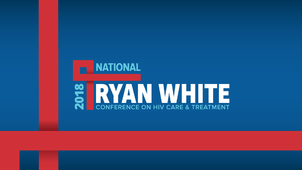# **NATIONAL** CONFERENCE ON HIV CARE & TREATMENT 2018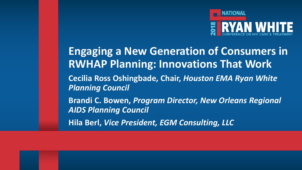

**Engaging a New Generation of Consumers in RWHAP Planning: Innovations That Work Cecilia Ross Oshingbade, Chair,** *Houston EMA Ryan White Planning Council* **Brandi C. Bowen,** *Program Director, New Orleans Regional AIDS Planning Council*  **Hila Berl,** *Vice President, EGM Consulting, LLC*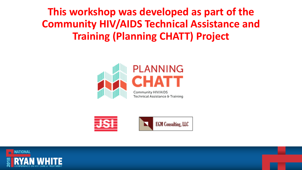**This workshop was developed as part of the Community HIV/AIDS Technical Assistance and Training (Planning CHATT) Project**





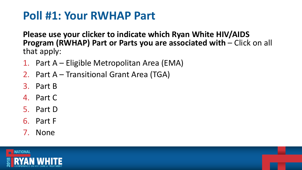## **Poll #1: Your RWHAP Part**

**Please use your clicker to indicate which Ryan White HIV/AIDS Program (RWHAP) Part or Parts you are associated with – Click on all** that apply:

- 1. Part A Eligible Metropolitan Area (EMA)
- 2. Part A Transitional Grant Area (TGA)
- 3. Part B
- 4. Part C
- 5. Part D
- 6. Part F
- 7. None

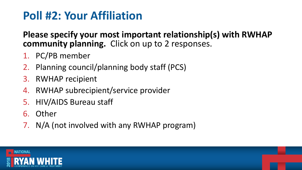# **Poll #2: Your Affiliation**

**Please specify your most important relationship(s) with RWHAP community planning.** Click on up to 2 responses.

- 1. PC/PB member
- 2. Planning council/planning body staff (PCS)
- 3. RWHAP recipient
- 4. RWHAP subrecipient/service provider
- 5. HIV/AIDS Bureau staff
- 6. Other
- 7. N/A (not involved with any RWHAP program)

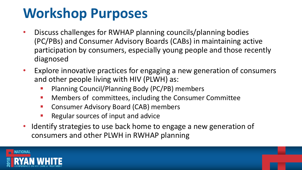# **Workshop Purposes**

- Discuss challenges for RWHAP planning councils/planning bodies (PC/PBs) and Consumer Advisory Boards (CABs) in maintaining active participation by consumers, especially young people and those recently diagnosed
- Explore innovative practices for engaging a new generation of consumers and other people living with HIV (PLWH) as:
	- Planning Council/Planning Body (PC/PB) members
	- Members of committees, including the Consumer Committee
	- Consumer Advisory Board (CAB) members
	- Regular sources of input and advice
- Identify strategies to use back home to engage a new generation of consumers and other PLWH in RWHAP planning

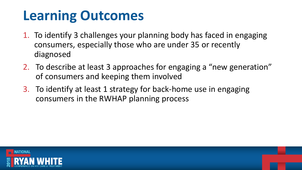# **Learning Outcomes**

- 1. To identify 3 challenges your planning body has faced in engaging consumers, especially those who are under 35 or recently diagnosed
- 2. To describe at least 3 approaches for engaging a "new generation" of consumers and keeping them involved
- 3. To identify at least 1 strategy for back-home use in engaging consumers in the RWHAP planning process

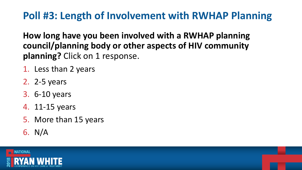### **Poll #3: Length of Involvement with RWHAP Planning**

**How long have you been involved with a RWHAP planning council/planning body or other aspects of HIV community planning?** Click on 1 response.

- 1. Less than 2 years
- 2. 2-5 years
- 3. 6-10 years
- 4. 11-15 years
- 5. More than 15 years
- 6. N/A

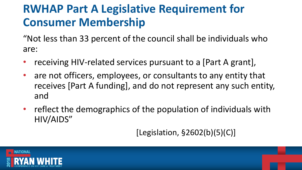# **RWHAP Part A Legislative Requirement for Consumer Membership**

"Not less than 33 percent of the council shall be individuals who are:

- receiving HIV-related services pursuant to a [Part A grant],
- are not officers, employees, or consultants to any entity that receives [Part A funding], and do not represent any such entity, and
- reflect the demographics of the population of individuals with HIV/AIDS"

[Legislation, §2602(b)(5)(C)]

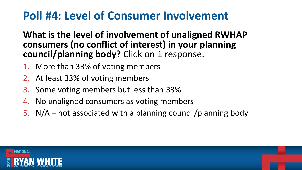## **Poll #4: Level of Consumer Involvement**

**What is the level of involvement of unaligned RWHAP consumers (no conflict of interest) in your planning council/planning body?** Click on 1 response.

- 1. More than 33% of voting members
- 2. At least 33% of voting members
- 3. Some voting members but less than 33%
- 4. No unaligned consumers as voting members
- 5. N/A not associated with a planning council/planning body

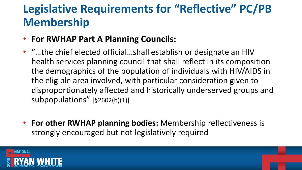# **Legislative Requirements for "Reflective" PC/PB Membership**

- **For RWHAP Part A Planning Councils:**
- "…the chief elected official…shall establish or designate an HIV health services planning council that shall reflect in its composition the demographics of the population of individuals with HIV/AIDS in the eligible area involved, with particular consideration given to disproportionately affected and historically underserved groups and subpopulations" [§2602(b)(1)]
- **For other RWHAP planning bodies:** Membership reflectiveness is strongly encouraged but not legislatively required

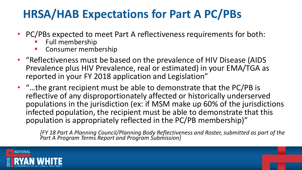# **HRSA/HAB Expectations for Part A PC/PBs**

- PC/PBs expected to meet Part A reflectiveness requirements for both:
	- Full membership
	- Consumer membership
- "Reflectiveness must be based on the prevalence of HIV Disease (AIDS Prevalence plus HIV Prevalence, real or estimated) in your EMA/TGA as reported in your FY 2018 application and Legislation"
- "…the grant recipient must be able to demonstrate that the PC/PB is reflective of any disproportionately affected or historically underserved populations in the jurisdiction (ex: if MSM make up 60% of the jurisdictions infected population, the recipient must be able to demonstrate that this population is appropriately reflected in the PC/PB membership)"

*[FY 18 Part A Planning Council/Planning Body Reflectiveness and Roster, submitted as part of the Part A Program Terms Report and Program Submission]*

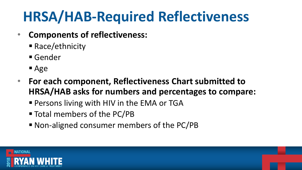# **HRSA/HAB-Required Reflectiveness**

- **Components of reflectiveness:**
	- Race/ethnicity
	- Gender
	- Age
- **For each component, Reflectiveness Chart submitted to HRSA/HAB asks for numbers and percentages to compare:**
	- **Persons living with HIV in the EMA or TGA**
	- Total members of the PC/PB
	- Non-aligned consumer members of the PC/PB

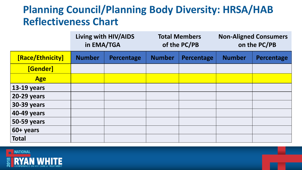### **Planning Council/Planning Body Diversity: HRSA/HAB Reflectiveness Chart**

|                    | Living with HIV/AIDS<br>in EMA/TGA |                   | <b>Total Members</b><br>of the PC/PB |            | <b>Non-Aligned Consumers</b><br>on the PC/PB |                   |
|--------------------|------------------------------------|-------------------|--------------------------------------|------------|----------------------------------------------|-------------------|
| [Race/Ethnicity]   | <b>Number</b>                      | <b>Percentage</b> | <b>Number</b>                        | Percentage | <b>Number</b>                                | <b>Percentage</b> |
| <b>[Gender]</b>    |                                    |                   |                                      |            |                                              |                   |
| <b>Age</b>         |                                    |                   |                                      |            |                                              |                   |
| <b>13-19 years</b> |                                    |                   |                                      |            |                                              |                   |
| <b>20-29 years</b> |                                    |                   |                                      |            |                                              |                   |
| <b>30-39 years</b> |                                    |                   |                                      |            |                                              |                   |
| 40-49 years        |                                    |                   |                                      |            |                                              |                   |
| <b>50-59 years</b> |                                    |                   |                                      |            |                                              |                   |
| 60+ years          |                                    |                   |                                      |            |                                              |                   |
| <b>Total</b>       |                                    |                   |                                      |            |                                              |                   |

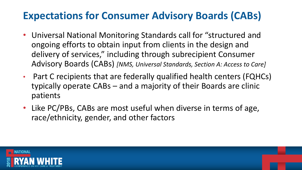### **Expectations for Consumer Advisory Boards (CABs)**

- Universal National Monitoring Standards call for "structured and ongoing efforts to obtain input from clients in the design and delivery of services," including through subrecipient Consumer Advisory Boards (CABs) *[NMS, Universal Standards, Section A: Access to Care]*
- Part C recipients that are federally qualified health centers (FQHCs) typically operate CABs – and a majority of their Boards are clinic patients
- Like PC/PBs, CABs are most useful when diverse in terms of age, race/ethnicity, gender, and other factors

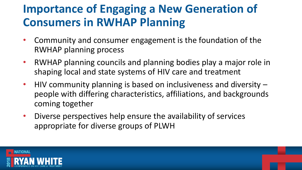# **Importance of Engaging a New Generation of Consumers in RWHAP Planning**

- Community and consumer engagement is the foundation of the RWHAP planning process
- RWHAP planning councils and planning bodies play a major role in shaping local and state systems of HIV care and treatment
- HIV community planning is based on inclusiveness and diversity people with differing characteristics, affiliations, and backgrounds coming together
- Diverse perspectives help ensure the availability of services appropriate for diverse groups of PLWH

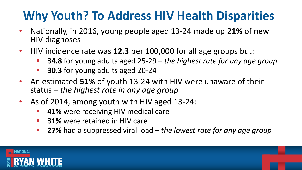# **Why Youth? To Address HIV Health Disparities**

- Nationally, in 2016, young people aged 13-24 made up **21%** of new HIV diagnoses
- HIV incidence rate was **12.3** per 100,000 for all age groups but:
	- **34.8** for young adults aged 25-29 *the highest rate for any age group*
	- **30.3** for young adults aged 20-24
- An estimated **51%** of youth 13-24 with HIV were unaware of their status – *the highest rate in any age group*
- As of 2014, among youth with HIV aged 13-24:
	- **41%** were receiving HIV medical care
	- **31%** were retained in HIV care
	- **27%** had a suppressed viral load *the lowest rate for any age group*

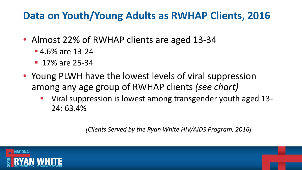### **Data on Youth/Young Adults as RWHAP Clients, 2016**

- Almost 22% of RWHAP clients are aged 13-34
	- $-4.6\%$  are 13-24
	- **17% are 25-34**
- Young PLWH have the lowest levels of viral suppression among any age group of RWHAP clients *(see chart)*
	- Viral suppression is lowest among transgender youth aged 13-24: 63.4%

*[Clients Served by the Ryan White HIV/AIDS Program, 2016]* 

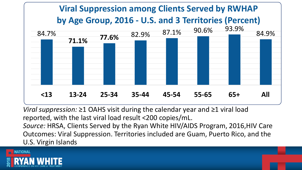

*Viral suppression:* ≥1 OAHS visit during the calendar year and ≥1 viral load reported, with the last viral load result <200 copies/mL.

*Source:* HRSA, Clients Served by the Ryan White HIV/AIDS Program, 2016,HIV Care Outcomes: Viral Suppression. Territories included are Guam, Puerto Rico, and the U.S. Virgin Islands

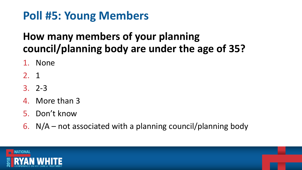## **Poll #5: Young Members**

### **How many members of your planning council/planning body are under the age of 35?**

- 1. None
- 2. 1
- 3. 2-3
- 4. More than 3
- 5. Don't know
- 6.  $N/A$  not associated with a planning council/planning body

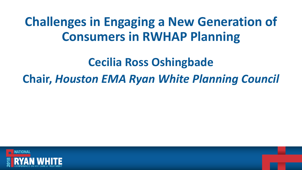# **Challenges in Engaging a New Generation of Consumers in RWHAP Planning**

### **Cecilia Ross Oshingbade**

### **Chair,** *Houston EMA Ryan White Planning Council*

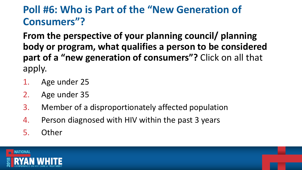### **Poll #6: Who is Part of the "New Generation of Consumers"?**

**From the perspective of your planning council/ planning body or program, what qualifies a person to be considered part of a "new generation of consumers"?** Click on all that apply.

- 1. Age under 25
- 2. Age under 35
- 3. Member of a disproportionately affected population
- 4. Person diagnosed with HIV within the past 3 years
- 5. Other

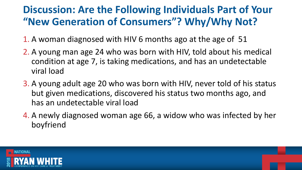### **Discussion: Are the Following Individuals Part of Your "New Generation of Consumers"? Why/Why Not?**

- 1. A woman diagnosed with HIV 6 months ago at the age of 51
- 2. A young man age 24 who was born with HIV, told about his medical condition at age 7, is taking medications, and has an undetectable viral load
- 3. A young adult age 20 who was born with HIV, never told of his status but given medications, discovered his status two months ago, and has an undetectable viral load
- 4. A newly diagnosed woman age 66, a widow who was infected by her boyfriend

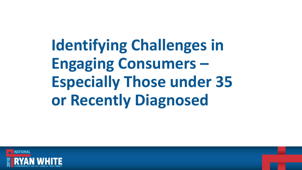**Identifying Challenges in Engaging Consumers – Especially Those under 35 or Recently Diagnosed**

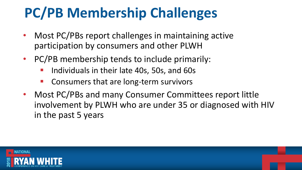# **PC/PB Membership Challenges**

- Most PC/PBs report challenges in maintaining active participation by consumers and other PLWH
- PC/PB membership tends to include primarily:
	- Individuals in their late 40s, 50s, and 60s
	- Consumers that are long-term survivors
- Most PC/PBs and many Consumer Committees report little involvement by PLWH who are under 35 or diagnosed with HIV in the past 5 years

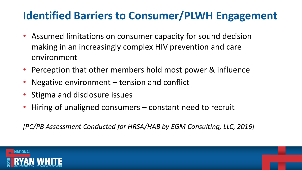### **Identified Barriers to Consumer/PLWH Engagement**

- Assumed limitations on consumer capacity for sound decision making in an increasingly complex HIV prevention and care environment
- Perception that other members hold most power & influence
- Negative environment  $-$  tension and conflict
- Stigma and disclosure issues
- Hiring of unaligned consumers constant need to recruit

*[PC/PB Assessment Conducted for HRSA/HAB by EGM Consulting, LLC, 2016]*

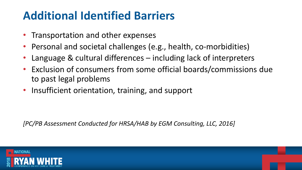## **Additional Identified Barriers**

- Transportation and other expenses
- Personal and societal challenges (e.g., health, co-morbidities)
- Language & cultural differences including lack of interpreters
- Exclusion of consumers from some official boards/commissions due to past legal problems
- Insufficient orientation, training, and support

*[PC/PB Assessment Conducted for HRSA/HAB by EGM Consulting, LLC, 2016]*

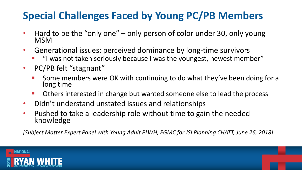### **Special Challenges Faced by Young PC/PB Members**

- Hard to be the "only one" only person of color under 30, only young MSM
- Generational issues: perceived dominance by long-time survivors
	- "I was not taken seriously because I was the youngest, newest member"
- PC/PB felt "stagnant"
	- Some members were OK with continuing to do what they've been doing for a long time
	- Others interested in change but wanted someone else to lead the process
- Didn't understand unstated issues and relationships
- Pushed to take a leadership role without time to gain the needed knowledge

*[Subject Matter Expert Panel with Young Adult PLWH, EGMC for JSI Planning CHATT, June 26, 2018]*

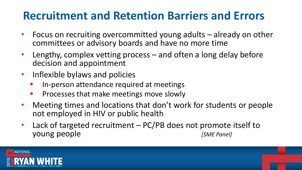## **Recruitment and Retention Barriers and Errors**

- Focus on recruiting overcommitted young adults already on other committees or advisory boards and have no more time
- Lengthy, complex vetting process  $-$  and often a long delay before decision and appointment
- Inflexible bylaws and policies
	- In-person attendance required at meetings
	- **Processes that make meetings move slowly**
- Meeting times and locations that don't work for students or people not employed in HIV or public health
- Lack of targeted recruitment PC/PB does not promote itself to young people *[SME Panel]*

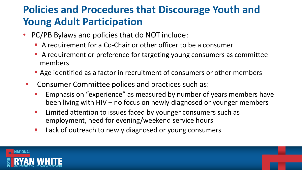### **Policies and Procedures that Discourage Youth and Young Adult Participation**

- PC/PB Bylaws and policies that do NOT include:
	- A requirement for a Co-Chair or other officer to be a consumer
	- A requirement or preference for targeting young consumers as committee members
	- Age identified as a factor in recruitment of consumers or other members
- Consumer Committee polices and practices such as:
	- Emphasis on "experience" as measured by number of years members have been living with HIV – no focus on newly diagnosed or younger members
	- **EXTERG** 11 Limited attention to issues faced by younger consumers such as employment, need for evening/weekend service hours
	- Lack of outreach to newly diagnosed or young consumers

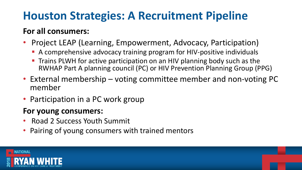# **Houston Strategies: A Recruitment Pipeline**

#### **For all consumers:**

- Project LEAP (Learning, Empowerment, Advocacy, Participation)
	- A comprehensive advocacy training program for HIV-positive individuals
	- Trains PLWH for active participation on an HIV planning body such as the RWHAP Part A planning council (PC) or HIV Prevention Planning Group (PPG)
- External membership voting committee member and non-voting PC member
- Participation in a PC work group

#### **For young consumers:**

- Road 2 Success Youth Summit
- Pairing of young consumers with trained mentors

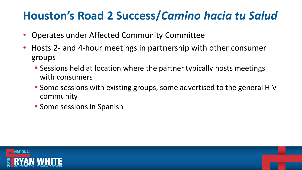## **Houston's Road 2 Success/***Camino hacia tu Salud*

- Operates under Affected Community Committee
- Hosts 2- and 4-hour meetings in partnership with other consumer groups
	- Sessions held at location where the partner typically hosts meetings with consumers
	- Some sessions with existing groups, some advertised to the general HIV community
	- **E** Some sessions in Spanish

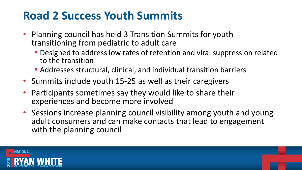### **Road 2 Success Youth Summits**

- Planning council has held 3 Transition Summits for youth transitioning from pediatric to adult care
	- Designed to address low rates of retention and viral suppression related to the transition
	- Addresses structural, clinical, and individual transition barriers
- Summits include youth 15-25 as well as their caregivers
- Participants sometimes say they would like to share their experiences and become more involved
- Sessions increase planning council visibility among youth and young adult consumers and can make contacts that lead to engagement with the planning council

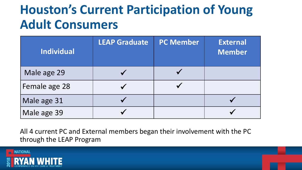# **Houston's Current Participation of Young Adult Consumers**

| <b>Individual</b> | <b>LEAP Graduate</b> | <b>PC Member</b> | <b>External</b><br><b>Member</b> |
|-------------------|----------------------|------------------|----------------------------------|
| Male age 29       |                      |                  |                                  |
| Female age 28     |                      |                  |                                  |
| Male age 31       |                      |                  |                                  |
| Male age 39       |                      |                  |                                  |

All 4 current PC and External members began their involvement with the PC through the LEAP Program

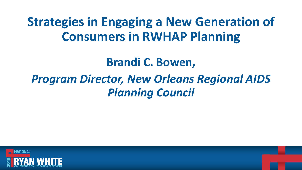# **Strategies in Engaging a New Generation of Consumers in RWHAP Planning**

### **Brandi C. Bowen,**

# *Program Director, New Orleans Regional AIDS Planning Council*

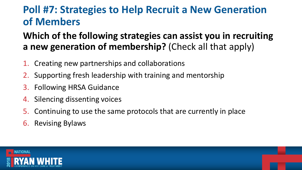### **Poll #7: Strategies to Help Recruit a New Generation of Members**

#### **Which of the following strategies can assist you in recruiting a new generation of membership?** (Check all that apply)

- 1. Creating new partnerships and collaborations
- 2. Supporting fresh leadership with training and mentorship
- 3. Following HRSA Guidance
- 4. Silencing dissenting voices
- 5. Continuing to use the same protocols that are currently in place
- 6. Revising Bylaws

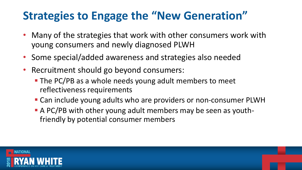# **Strategies to Engage the "New Generation"**

- Many of the strategies that work with other consumers work with young consumers and newly diagnosed PLWH
- Some special/added awareness and strategies also needed
- Recruitment should go beyond consumers:
	- The PC/PB as a whole needs young adult members to meet reflectiveness requirements
	- Can include young adults who are providers or non-consumer PLWH
	- A PC/PB with other young adult members may be seen as youthfriendly by potential consumer members

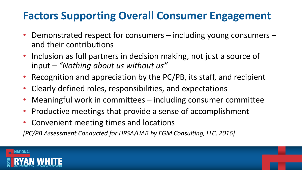### **Factors Supporting Overall Consumer Engagement**

- Demonstrated respect for consumers including young consumers and their contributions
- Inclusion as full partners in decision making, not just a source of input – *"Nothing about us without us"*
- Recognition and appreciation by the PC/PB, its staff, and recipient
- Clearly defined roles, responsibilities, and expectations
- Meaningful work in committees including consumer committee
- Productive meetings that provide a sense of accomplishment
- Convenient meeting times and locations

*[PC/PB Assessment Conducted for HRSA/HAB by EGM Consulting, LLC, 2016]*

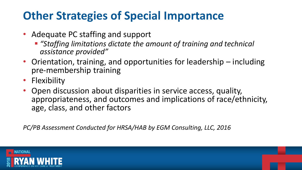# **Other Strategies of Special Importance**

- Adequate PC staffing and support
	- "Staffing limitations dictate the amount of training and technical *assistance provided"*
- Orientation, training, and opportunities for leadership including pre-membership training
- Flexibility
- Open discussion about disparities in service access, quality, appropriateness, and outcomes and implications of race/ethnicity, age, class, and other factors

*PC/PB Assessment Conducted for HRSA/HAB by EGM Consulting, LLC, 2016*

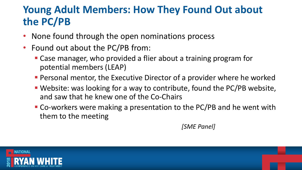### **Young Adult Members: How They Found Out about the PC/PB**

- None found through the open nominations process
- Found out about the PC/PB from:
	- Case manager, who provided a flier about a training program for potential members (LEAP)
	- **Personal mentor, the Executive Director of a provider where he worked**
	- Website: was looking for a way to contribute, found the PC/PB website, and saw that he knew one of the Co-Chairs
	- Co-workers were making a presentation to the PC/PB and he went with them to the meeting

*[SME Panel]*

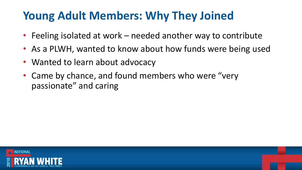# **Young Adult Members: Why They Joined**

- Feeling isolated at work needed another way to contribute
- As a PLWH, wanted to know about how funds were being used
- Wanted to learn about advocacy
- Came by chance, and found members who were "very passionate" and caring

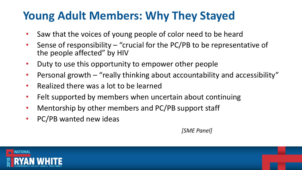# **Young Adult Members: Why They Stayed**

- Saw that the voices of young people of color need to be heard
- Sense of responsibility "crucial for the PC/PB to be representative of the people affected" by HIV
- Duty to use this opportunity to empower other people
- Personal growth "really thinking about accountability and accessibility"
- Realized there was a lot to be learned
- Felt supported by members when uncertain about continuing
- Mentorship by other members and PC/PB support staff
- PC/PB wanted new ideas

*[SME Panel]*

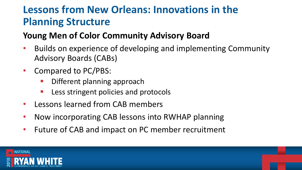### **Lessons from New Orleans: Innovations in the Planning Structure**

#### **Young Men of Color Community Advisory Board**

- Builds on experience of developing and implementing Community Advisory Boards (CABs)
- Compared to PC/PBS:
	- Different planning approach
	- **E** Less stringent policies and protocols
- Lessons learned from CAB members
- Now incorporating CAB lessons into RWHAP planning
- Future of CAB and impact on PC member recruitment

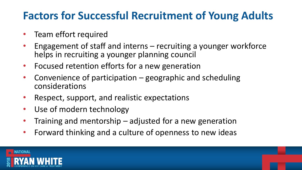### **Factors for Successful Recruitment of Young Adults**

- Team effort required
- Engagement of staff and interns recruiting a younger workforce helps in recruiting a younger planning council
- Focused retention efforts for a new generation
- Convenience of participation geographic and scheduling considerations
- Respect, support, and realistic expectations
- Use of modern technology
- Training and mentorship adjusted for a new generation
- Forward thinking and a culture of openness to new ideas

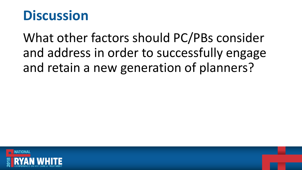# **Discussion**

What other factors should PC/PBs consider and address in order to successfully engage and retain a new generation of planners?

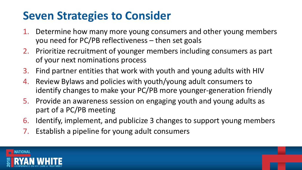## **Seven Strategies to Consider**

- 1. Determine how many more young consumers and other young members you need for PC/PB reflectiveness – then set goals
- 2. Prioritize recruitment of younger members including consumers as part of your next nominations process
- 3. Find partner entities that work with youth and young adults with HIV
- 4. Review Bylaws and policies with youth/young adult consumers to identify changes to make your PC/PB more younger-generation friendly
- 5. Provide an awareness session on engaging youth and young adults as part of a PC/PB meeting
- 6. Identify, implement, and publicize 3 changes to support young members
- 7. Establish a pipeline for young adult consumers

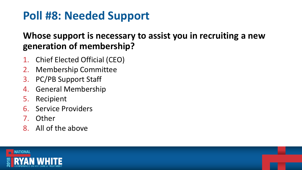# **Poll #8: Needed Support**

#### **Whose support is necessary to assist you in recruiting a new generation of membership?**

- 1. Chief Elected Official (CEO)
- 2. Membership Committee
- 3. PC/PB Support Staff
- 4. General Membership
- 5. Recipient
- 6. Service Providers
- 7. Other
- 8. All of the above

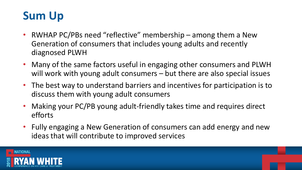### **Sum Up**

- RWHAP PC/PBs need "reflective" membership among them a New Generation of consumers that includes young adults and recently diagnosed PLWH
- Many of the same factors useful in engaging other consumers and PLWH will work with young adult consumers – but there are also special issues
- The best way to understand barriers and incentives for participation is to discuss them with young adult consumers
- Making your PC/PB young adult-friendly takes time and requires direct efforts
- Fully engaging a New Generation of consumers can add energy and new ideas that will contribute to improved services